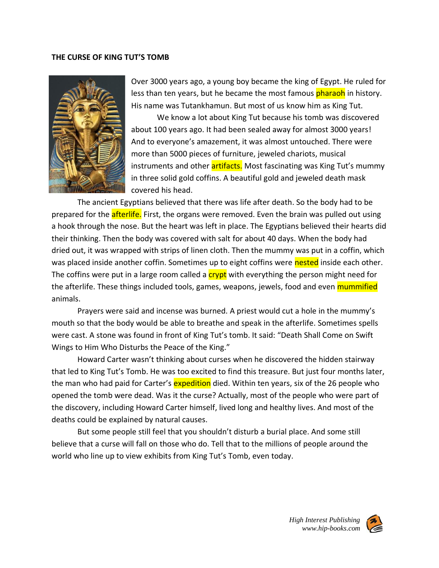#### **THE CURSE OF KING TUT'S TOMB**



Over 3000 years ago, a young boy became the king of Egypt. He ruled for less than ten years, but he became the most famous pharaoh in history. His name was Tutankhamun. But most of us know him as King Tut.

We know a lot about King Tut because his tomb was discovered about 100 years ago. It had been sealed away for almost 3000 years! And to everyone's amazement, it was almost untouched. There were more than 5000 pieces of furniture, jeweled chariots, musical instruments and other **artifacts.** Most fascinating was King Tut's mummy in three solid gold coffins. A beautiful gold and jeweled death mask covered his head.

The ancient Egyptians believed that there was life after death. So the body had to be prepared for the **afterlife.** First, the organs were removed. Even the brain was pulled out using a hook through the nose. But the heart was left in place. The Egyptians believed their hearts did their thinking. Then the body was covered with salt for about 40 days. When the body had dried out, it was wrapped with strips of linen cloth. Then the mummy was put in a coffin, which was placed inside another coffin. Sometimes up to eight coffins were nested inside each other. The coffins were put in a large room called a **crypt** with everything the person might need for the afterlife. These things included tools, games, weapons, jewels, food and even mummified animals.

Prayers were said and incense was burned. A priest would cut a hole in the mummy's mouth so that the body would be able to breathe and speak in the afterlife. Sometimes spells were cast. A stone was found in front of King Tut's tomb. It said: "Death Shall Come on Swift Wings to Him Who Disturbs the Peace of the King."

Howard Carter wasn't thinking about curses when he discovered the hidden stairway that led to King Tut's Tomb. He was too excited to find this treasure. But just four months later, the man who had paid for Carter's **expedition** died. Within ten years, six of the 26 people who opened the tomb were dead. Was it the curse? Actually, most of the people who were part of the discovery, including Howard Carter himself, lived long and healthy lives. And most of the deaths could be explained by natural causes.

But some people still feel that you shouldn't disturb a burial place. And some still believe that a curse will fall on those who do. Tell that to the millions of people around the world who line up to view exhibits from King Tut's Tomb, even today.

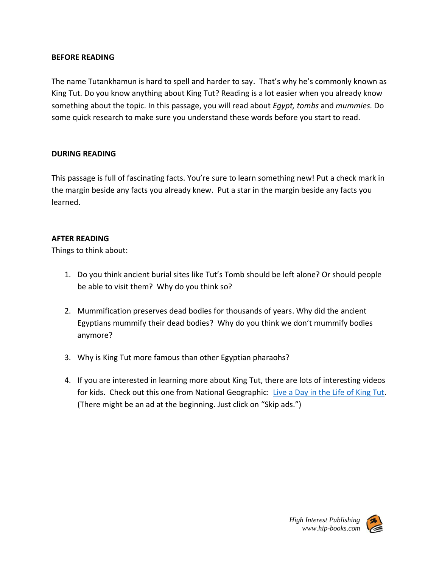# **BEFORE READING**

The name Tutankhamun is hard to spell and harder to say. That's why he's commonly known as King Tut. Do you know anything about King Tut? Reading is a lot easier when you already know something about the topic. In this passage, you will read about *Egypt, tombs* and *mummies.* Do some quick research to make sure you understand these words before you start to read.

## **DURING READING**

This passage is full of fascinating facts. You're sure to learn something new! Put a check mark in the margin beside any facts you already knew. Put a star in the margin beside any facts you learned.

## **AFTER READING**

Things to think about:

- 1. Do you think ancient burial sites like Tut's Tomb should be left alone? Or should people be able to visit them? Why do you think so?
- 2. Mummification preserves dead bodies for thousands of years. Why did the ancient Egyptians mummify their dead bodies? Why do you think we don't mummify bodies anymore?
- 3. Why is King Tut more famous than other Egyptian pharaohs?
- 4. If you are interested in learning more about King Tut, there are lots of interesting videos for kids. Check out this one from National Geographic: [Live a Day in the Life of King Tut.](https://www.youtube.com/watch?v=ULofBtBAJn4) (There might be an ad at the beginning. Just click on "Skip ads.")

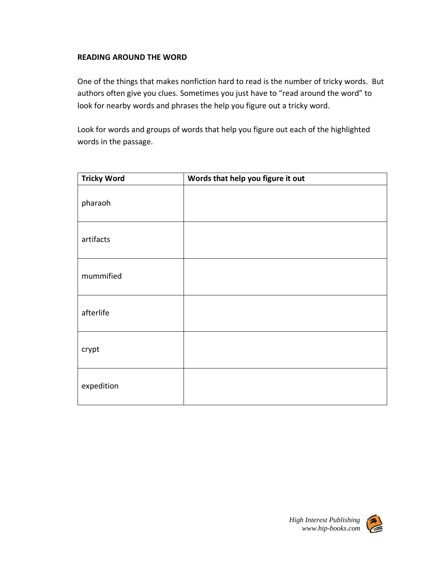# **READING AROUND THE WORD**

One of the things that makes nonfiction hard to read is the number of tricky words. But authors often give you clues. Sometimes you just have to "read around the word" to look for nearby words and phrases the help you figure out a tricky word.

Look for words and groups of words that help you figure out each of the highlighted words in the passage.

| <b>Tricky Word</b> | Words that help you figure it out |
|--------------------|-----------------------------------|
| pharaoh            |                                   |
| artifacts          |                                   |
| mummified          |                                   |
| afterlife          |                                   |
| crypt              |                                   |
| expedition         |                                   |